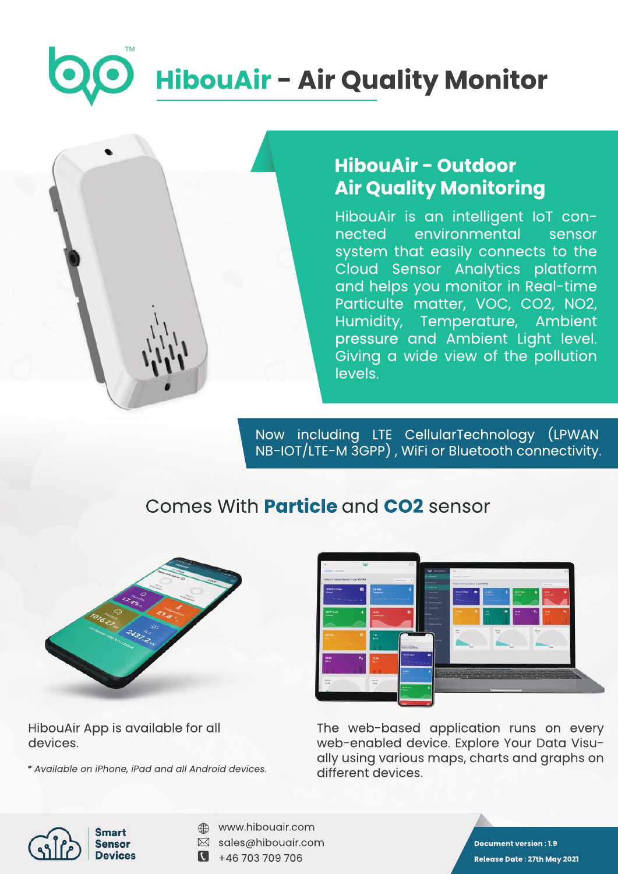# **HibouAir - Air Quality Monitor**



# **HibouAir-Outdoor AirQualityMonitoring**

HibouAir is an intelligent IoT connected environmental sensor system that easily connects to the Cloud Sensor Analytics platform and helps you monitor in Real-time Particulte matter, VOC, CO2, NO2, Humidity, Temperature, Ambient pressure and Ambient Light level. Giving a wide view of the pollution levels.

Now including LTE CellularTechnology (LPWAN NB-IOT/LTE-M 3GPP), WiFi or Bluetooth connectivity.

## ComesWith**Particle**and**CO2**sensor



HibouAir App is available for all devices.

*\*AvailableoniPhone,iPadandallAndroiddevices.*



The web-based application runs on every web-enabled device. Explore Your Data Visually using various maps, charts and graphs on different devices.



- www.hibouair.com ⊕
- $\boxtimes$  sales@hibouair.com
- $\bullet$  +46 703 709 706

**Document version: 1.9 ReleaseDate:27thMay2021**